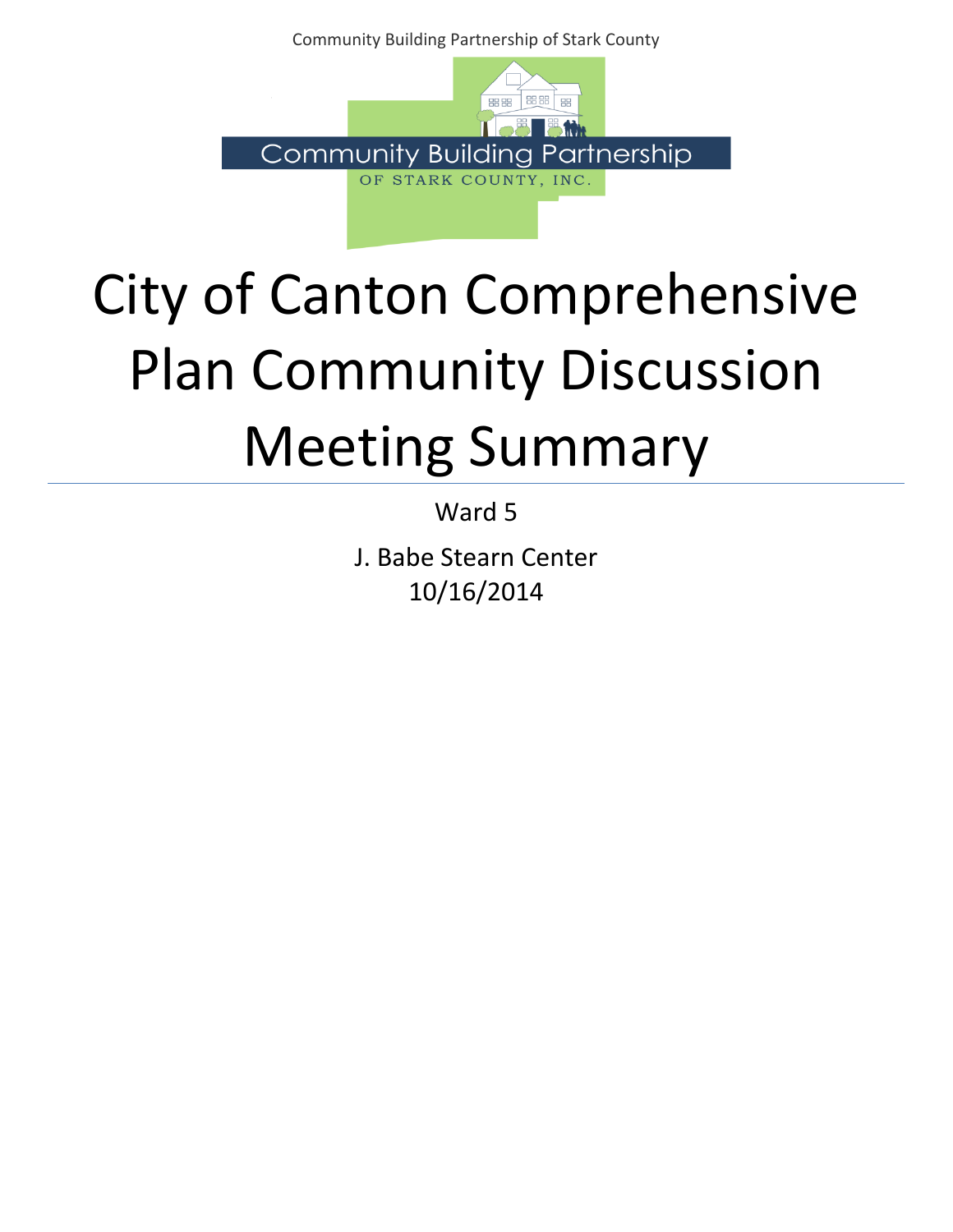Community Building Partnership of Stark County



## City of Canton Comprehensive Plan Community Discussion Meeting Summary

Ward 5

J. Babe Stearn Center 10/16/2014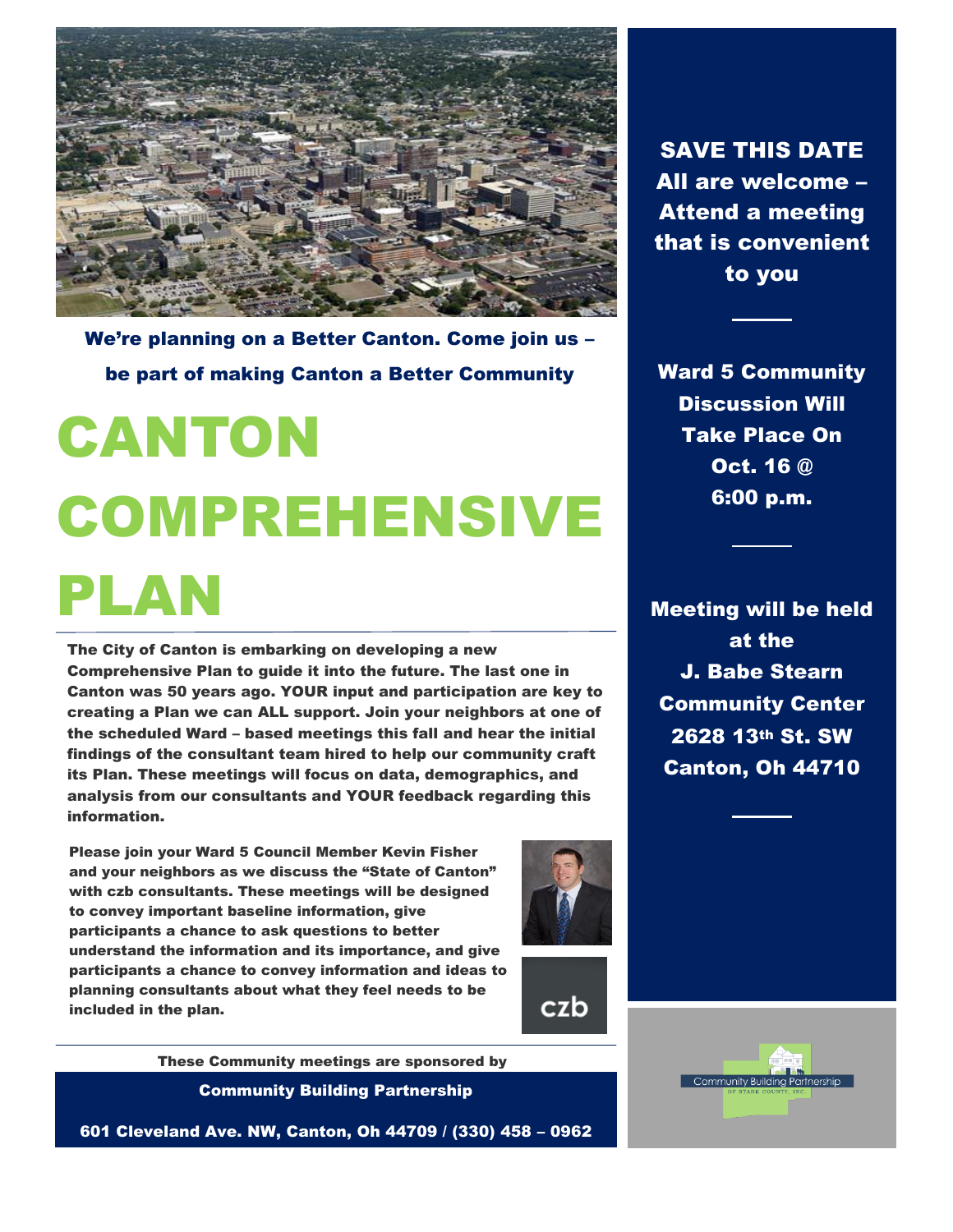

We're planning on a Better Canton. Come join us – be part of making Canton a Better Community

# CANTON COMPREHENSIVE PLAN

The City of Canton is embarking on developing a new Comprehensive Plan to guide it into the future. The last one in Canton was 50 years ago. YOUR input and participation are key to creating a Plan we can ALL support. Join your neighbors at one of the scheduled Ward – based meetings this fall and hear the initial findings of the consultant team hired to help our community craft its Plan. These meetings will focus on data, demographics, and analysis from our consultants and YOUR feedback regarding this information.

Please join your Ward 5 Council Member Kevin Fisher and your neighbors as we discuss the "State of Canton" with czb consultants. These meetings will be designed to convey important baseline information, give participants a chance to ask questions to better understand the information and its importance, and give participants a chance to convey information and ideas to planning consultants about what they feel needs to be included in the plan.



czb

Community Building Partnership These Community meetings are sponsored by

601 Cleveland Ave. NW, Canton, Oh 44709 / (330) 458 – 0962

SAVE THIS DATE All are welcome – Attend a meeting that is convenient to you

Ward 5 Community Discussion Will Take Place On Oct. 16 @ 6:00 p.m.

Meeting will be held at the J. Babe Stearn Community Center 2628 13th St. SW Canton, Oh 44710

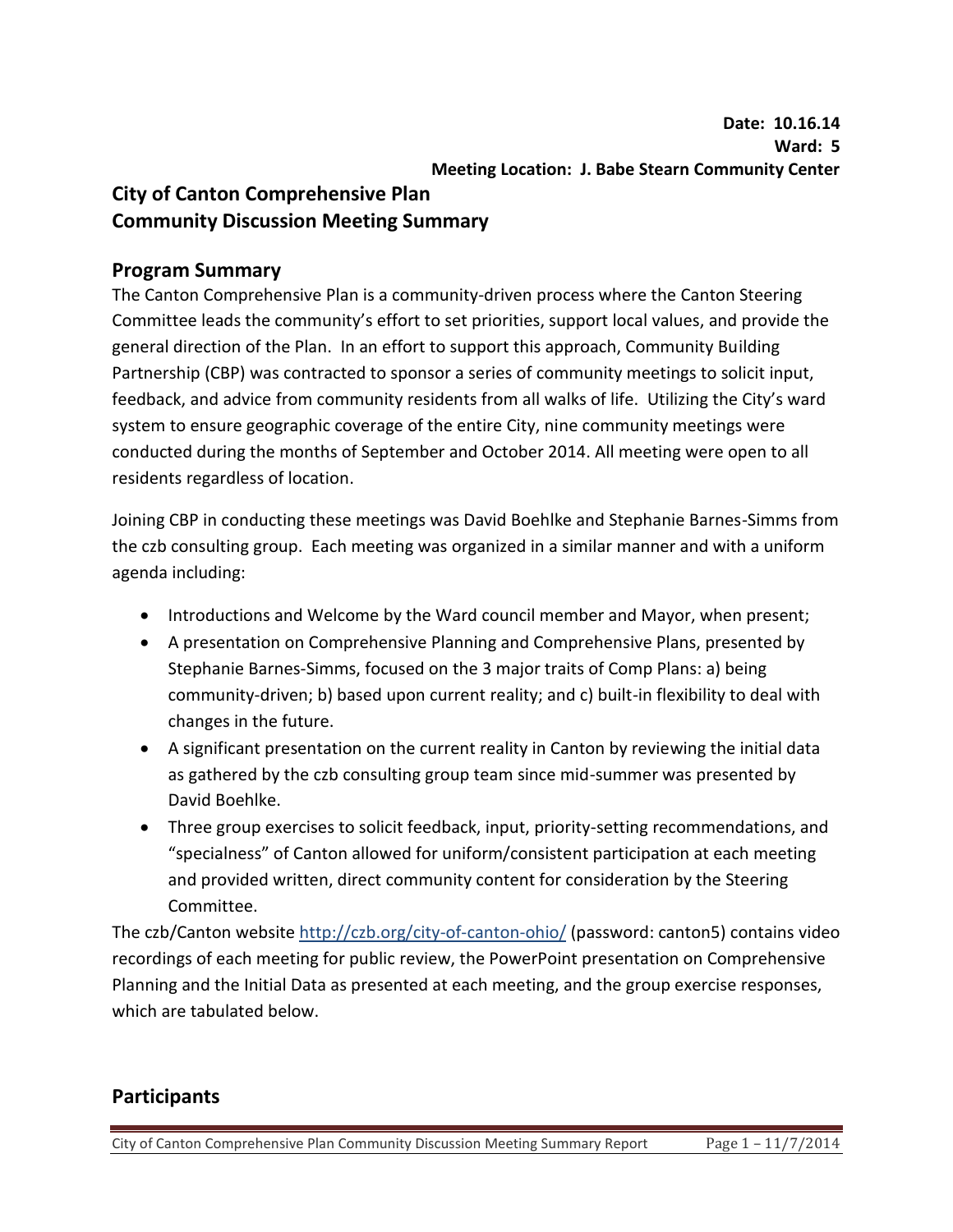## **City of Canton Comprehensive Plan Community Discussion Meeting Summary**

## **Program Summary**

The Canton Comprehensive Plan is a community-driven process where the Canton Steering Committee leads the community's effort to set priorities, support local values, and provide the general direction of the Plan. In an effort to support this approach, Community Building Partnership (CBP) was contracted to sponsor a series of community meetings to solicit input, feedback, and advice from community residents from all walks of life. Utilizing the City's ward system to ensure geographic coverage of the entire City, nine community meetings were conducted during the months of September and October 2014. All meeting were open to all residents regardless of location.

Joining CBP in conducting these meetings was David Boehlke and Stephanie Barnes-Simms from the czb consulting group. Each meeting was organized in a similar manner and with a uniform agenda including:

- Introductions and Welcome by the Ward council member and Mayor, when present;
- A presentation on Comprehensive Planning and Comprehensive Plans, presented by Stephanie Barnes-Simms, focused on the 3 major traits of Comp Plans: a) being community-driven; b) based upon current reality; and c) built-in flexibility to deal with changes in the future.
- A significant presentation on the current reality in Canton by reviewing the initial data as gathered by the czb consulting group team since mid-summer was presented by David Boehlke.
- Three group exercises to solicit feedback, input, priority-setting recommendations, and "specialness" of Canton allowed for uniform/consistent participation at each meeting and provided written, direct community content for consideration by the Steering Committee.

The czb/Canton website http://czb.org/city-of-canton-ohio/ (password: canton5) contains video recordings of each meeting for public review, the PowerPoint presentation on Comprehensive Planning and the Initial Data as presented at each meeting, and the group exercise responses, which are tabulated below.

## **Participants**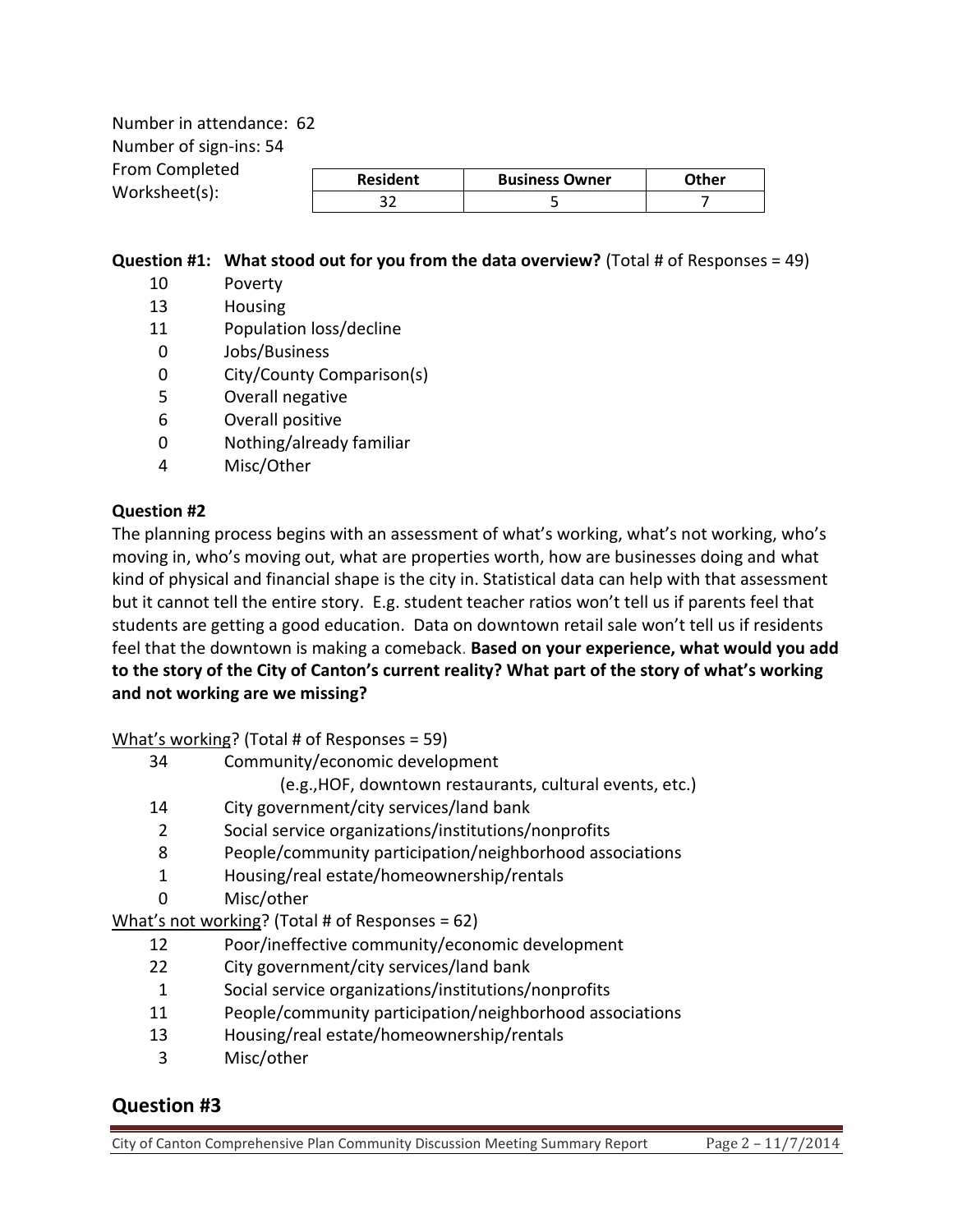Number in attendance: 62 Number of sign-ins: 54 From Completed Worksheet(s):

| <b>Resident</b> | <b>Business Owner</b> | <b>ether</b> |
|-----------------|-----------------------|--------------|
|                 |                       |              |

#### **Question #1: What stood out for you from the data overview?** (Total # of Responses = 49)

- 10 Poverty
- 13 Housing
- 11 Population loss/decline
- 0 Jobs/Business
- 0 City/County Comparison(s)
- 5 Overall negative
- 6 Overall positive
- 0 Nothing/already familiar
- 4 Misc/Other

#### **Question #2**

The planning process begins with an assessment of what's working, what's not working, who's moving in, who's moving out, what are properties worth, how are businesses doing and what kind of physical and financial shape is the city in. Statistical data can help with that assessment but it cannot tell the entire story. E.g. student teacher ratios won't tell us if parents feel that students are getting a good education. Data on downtown retail sale won't tell us if residents feel that the downtown is making a comeback. **Based on your experience, what would you add to the story of the City of Canton's current reality? What part of the story of what's working and not working are we missing?** 

What's working? (Total # of Responses = 59)

- 34 Community/economic development
	- (e.g.,HOF, downtown restaurants, cultural events, etc.)
- 14 City government/city services/land bank
- 2 Social service organizations/institutions/nonprofits
- 8 People/community participation/neighborhood associations
- 1 Housing/real estate/homeownership/rentals
- 0 Misc/other

What's not working? (Total # of Responses = 62)

- 12 Poor/ineffective community/economic development
- 22 City government/city services/land bank
- 1 Social service organizations/institutions/nonprofits
- 11 People/community participation/neighborhood associations
- 13 Housing/real estate/homeownership/rentals
- 3 Misc/other

## **Question #3**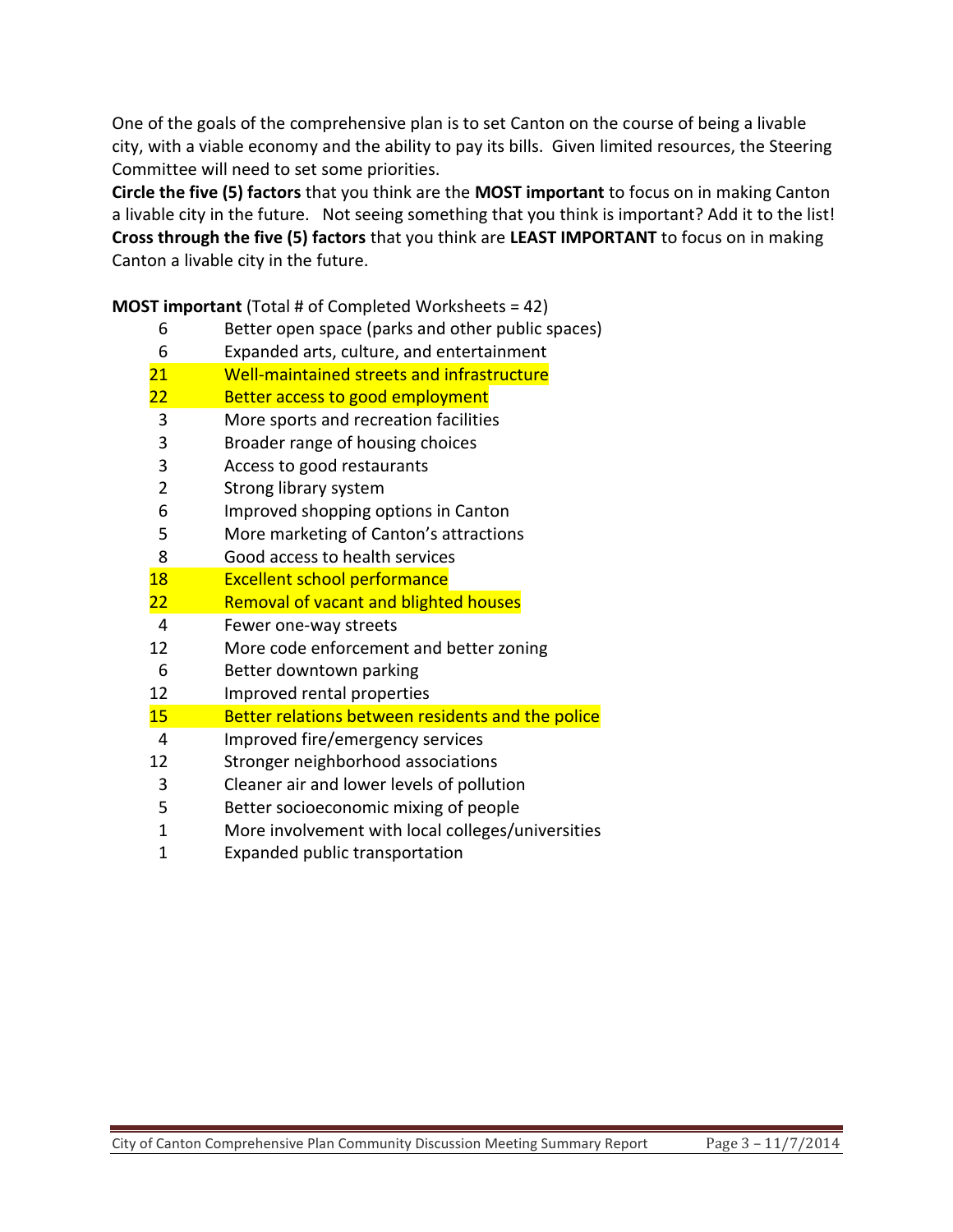One of the goals of the comprehensive plan is to set Canton on the course of being a livable city, with a viable economy and the ability to pay its bills. Given limited resources, the Steering Committee will need to set some priorities.

**Circle the five (5) factors** that you think are the **MOST important** to focus on in making Canton a livable city in the future. Not seeing something that you think is important? Add it to the list! **Cross through the five (5) factors** that you think are **LEAST IMPORTANT** to focus on in making Canton a livable city in the future.

**MOST important** (Total # of Completed Worksheets = 42)

Better open space (parks and other public spaces)

| 6              | Expanded arts, culture, and entertainment         |  |  |
|----------------|---------------------------------------------------|--|--|
| 21             | Well-maintained streets and infrastructure        |  |  |
| 22             | Better access to good employment                  |  |  |
| 3              | More sports and recreation facilities             |  |  |
| 3              | Broader range of housing choices                  |  |  |
| 3              | Access to good restaurants                        |  |  |
| $\overline{2}$ | Strong library system                             |  |  |
| 6              | Improved shopping options in Canton               |  |  |
| 5              | More marketing of Canton's attractions            |  |  |
| 8              | Good access to health services                    |  |  |
| 18             | <b>Excellent school performance</b>               |  |  |
| 22             | <b>Removal of vacant and blighted houses</b>      |  |  |
| 4              | Fewer one-way streets                             |  |  |
| 12             | More code enforcement and better zoning           |  |  |
| 6              | Better downtown parking                           |  |  |
| 12             | Improved rental properties                        |  |  |
| 15             | Better relations between residents and the police |  |  |
| 4              | Improved fire/emergency services                  |  |  |
| 12             | Stronger neighborhood associations                |  |  |
| 3              | Cleaner air and lower levels of pollution         |  |  |
| 5              | Better socioeconomic mixing of people             |  |  |
| 1              | More involvement with local colleges/universities |  |  |
| 1              | Expanded public transportation                    |  |  |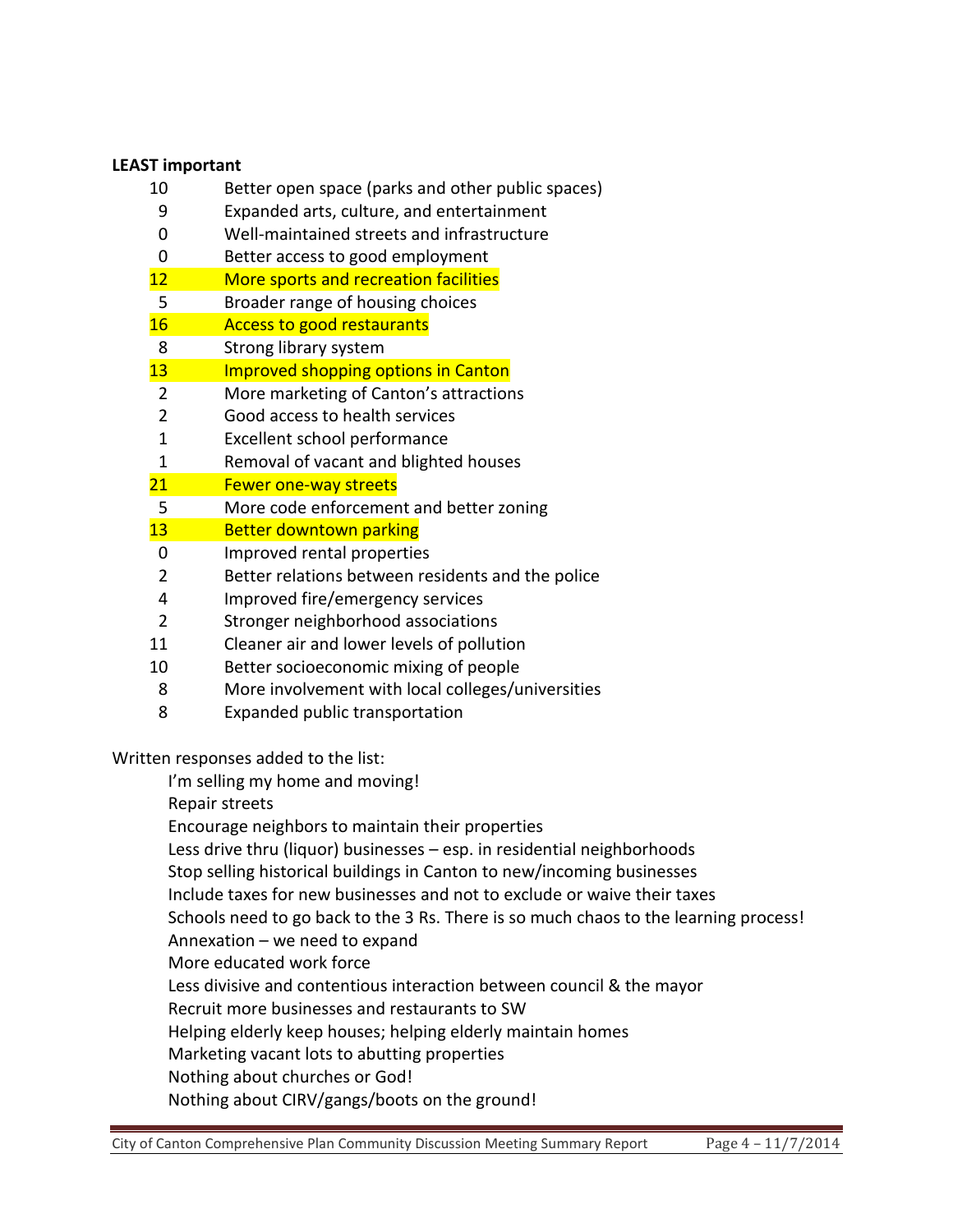#### **LEAST important**

- 10 Better open space (parks and other public spaces)
- 9 Expanded arts, culture, and entertainment
- 0 Well-maintained streets and infrastructure
- 0 Better access to good employment
- 12 More sports and recreation facilities
- 5 Broader range of housing choices
- 16 **Access to good restaurants**
- 8 Strong library system
- 13 Improved shopping options in Canton
- 2 More marketing of Canton's attractions
- 2 Good access to health services
- 1 Excellent school performance
- 1 Removal of vacant and blighted houses
- 21 Fewer one-way streets
- 5 More code enforcement and better zoning
- 13 Better downtown parking
- 0 Improved rental properties
- 2 Better relations between residents and the police
- 4 Improved fire/emergency services
- 2 Stronger neighborhood associations
- 11 Cleaner air and lower levels of pollution
- 10 Better socioeconomic mixing of people
- 8 More involvement with local colleges/universities
- 8 Expanded public transportation

Written responses added to the list:

I'm selling my home and moving!

Repair streets

Encourage neighbors to maintain their properties

Less drive thru (liquor) businesses – esp. in residential neighborhoods

Stop selling historical buildings in Canton to new/incoming businesses

Include taxes for new businesses and not to exclude or waive their taxes

Schools need to go back to the 3 Rs. There is so much chaos to the learning process!

Annexation – we need to expand

More educated work force

Less divisive and contentious interaction between council & the mayor

Recruit more businesses and restaurants to SW

Helping elderly keep houses; helping elderly maintain homes

Marketing vacant lots to abutting properties

Nothing about churches or God!

Nothing about CIRV/gangs/boots on the ground!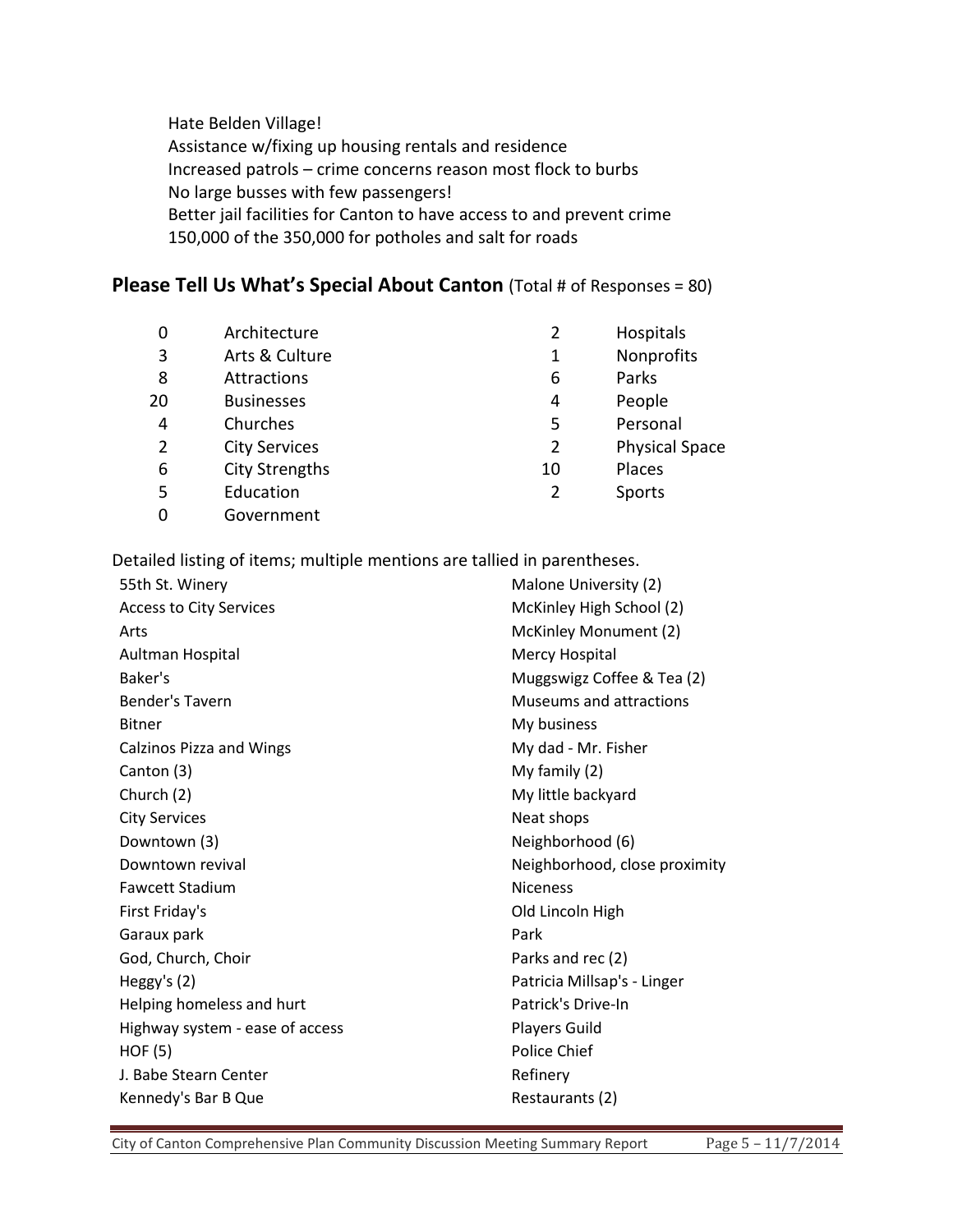Hate Belden Village! Assistance w/fixing up housing rentals and residence Increased patrols – crime concerns reason most flock to burbs No large busses with few passengers! Better jail facilities for Canton to have access to and prevent crime 150,000 of the 350,000 for potholes and salt for roads

### **Please Tell Us What's Special About Canton** (Total # of Responses = 80)

| 0  | Architecture          | 2              | Hospitals             |
|----|-----------------------|----------------|-----------------------|
| 3  | Arts & Culture        | 1              | Nonprofits            |
| 8  | Attractions           | 6              | Parks                 |
| 20 | <b>Businesses</b>     | 4              | People                |
| 4  | Churches              | 5              | Personal              |
| 2  | <b>City Services</b>  | $\overline{2}$ | <b>Physical Space</b> |
| 6  | <b>City Strengths</b> | 10             | Places                |
| 5  | Education             | 2              | Sports                |
|    | Government            |                |                       |

Detailed listing of items; multiple mentions are tallied in parentheses.

| 55th St. Winery                 | Malone University (2)         |  |
|---------------------------------|-------------------------------|--|
| <b>Access to City Services</b>  | McKinley High School (2)      |  |
| Arts                            | McKinley Monument (2)         |  |
| Aultman Hospital                | Mercy Hospital                |  |
| Baker's                         | Muggswigz Coffee & Tea (2)    |  |
| Bender's Tavern                 | Museums and attractions       |  |
| <b>Bitner</b>                   | My business                   |  |
| <b>Calzinos Pizza and Wings</b> | My dad - Mr. Fisher           |  |
| Canton (3)                      | My family (2)                 |  |
| Church (2)                      | My little backyard            |  |
| <b>City Services</b>            | Neat shops                    |  |
| Downtown (3)                    | Neighborhood (6)              |  |
| Downtown revival                | Neighborhood, close proximity |  |
| <b>Fawcett Stadium</b>          | <b>Niceness</b>               |  |
| First Friday's                  | Old Lincoln High              |  |
| Garaux park                     | Park                          |  |
| God, Church, Choir              | Parks and rec (2)             |  |
| Heggy's $(2)$                   | Patricia Millsap's - Linger   |  |
| Helping homeless and hurt       | Patrick's Drive-In            |  |
| Highway system - ease of access | <b>Players Guild</b>          |  |
| HOF(5)                          | Police Chief                  |  |
| J. Babe Stearn Center           | Refinery                      |  |
| Kennedy's Bar B Que             | Restaurants (2)               |  |
|                                 |                               |  |

City of Canton Comprehensive Plan Community Discussion Meeting Summary Report Page 5 - 11/7/2014